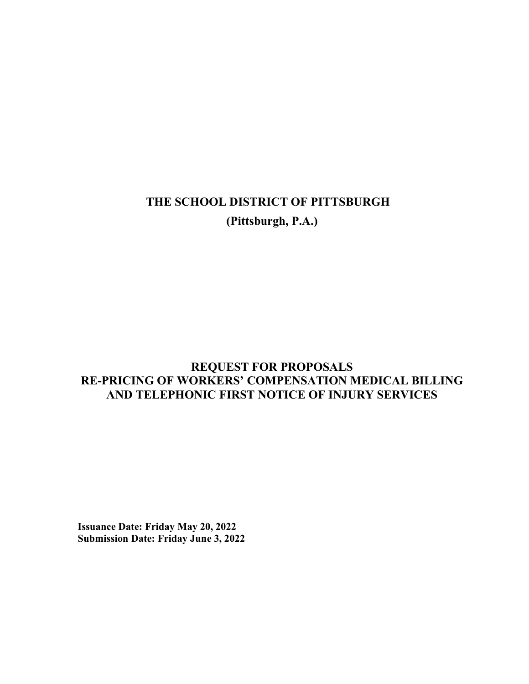# THE SCHOOL DISTRICT OF PITTSBURGH (Pittsburgh, P.A.)

# REQUEST FOR PROPOSALS RE-PRICING OF WORKERS' COMPENSATION MEDICAL BILLING AND TELEPHONIC FIRST NOTICE OF INJURY SERVICES

Issuance Date: Friday May 20, 2022 Submission Date: Friday June 3, 2022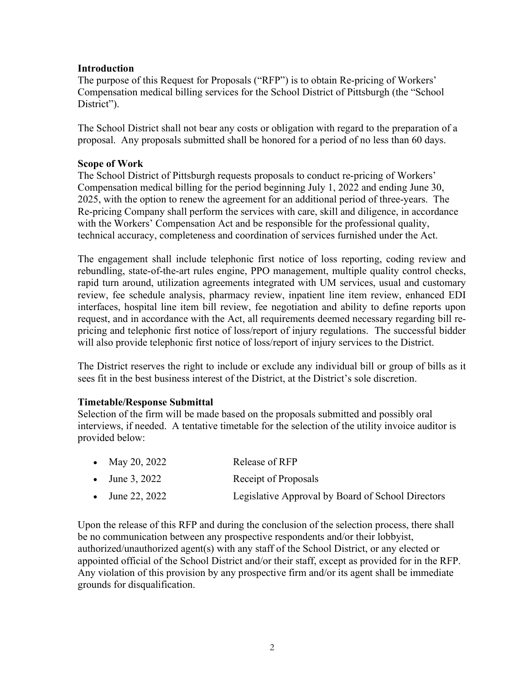#### **Introduction**

The purpose of this Request for Proposals ("RFP") is to obtain Re-pricing of Workers' Compensation medical billing services for the School District of Pittsburgh (the "School District").

The School District shall not bear any costs or obligation with regard to the preparation of a proposal. Any proposals submitted shall be honored for a period of no less than 60 days.

#### Scope of Work

The School District of Pittsburgh requests proposals to conduct re-pricing of Workers' Compensation medical billing for the period beginning July 1, 2022 and ending June 30, 2025, with the option to renew the agreement for an additional period of three-years. The Re-pricing Company shall perform the services with care, skill and diligence, in accordance with the Workers' Compensation Act and be responsible for the professional quality, technical accuracy, completeness and coordination of services furnished under the Act.

The engagement shall include telephonic first notice of loss reporting, coding review and rebundling, state-of-the-art rules engine, PPO management, multiple quality control checks, rapid turn around, utilization agreements integrated with UM services, usual and customary review, fee schedule analysis, pharmacy review, inpatient line item review, enhanced EDI interfaces, hospital line item bill review, fee negotiation and ability to define reports upon request, and in accordance with the Act, all requirements deemed necessary regarding bill repricing and telephonic first notice of loss/report of injury regulations. The successful bidder will also provide telephonic first notice of loss/report of injury services to the District.

The District reserves the right to include or exclude any individual bill or group of bills as it sees fit in the best business interest of the District, at the District's sole discretion.

#### Timetable/Response Submittal

Selection of the firm will be made based on the proposals submitted and possibly oral interviews, if needed. A tentative timetable for the selection of the utility invoice auditor is provided below:

- May 20, 2022 Release of RFP
- June 3, 2022 Receipt of Proposals
- June 22, 2022 Legislative Approval by Board of School Directors

Upon the release of this RFP and during the conclusion of the selection process, there shall be no communication between any prospective respondents and/or their lobbyist, authorized/unauthorized agent(s) with any staff of the School District, or any elected or appointed official of the School District and/or their staff, except as provided for in the RFP. Any violation of this provision by any prospective firm and/or its agent shall be immediate grounds for disqualification.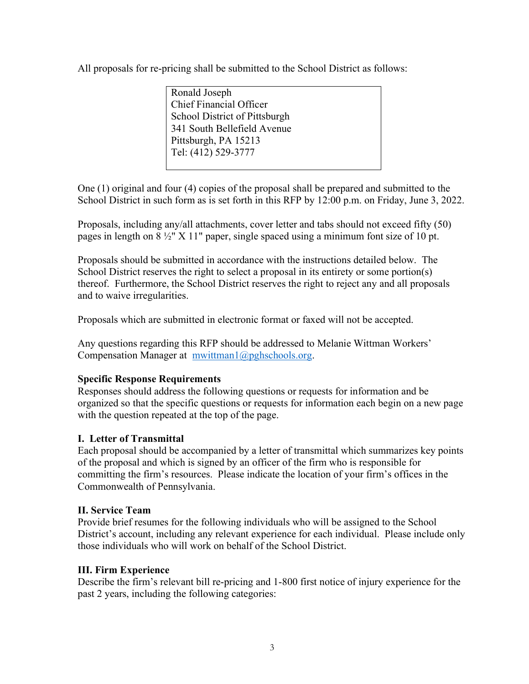All proposals for re-pricing shall be submitted to the School District as follows:

Ronald Joseph Chief Financial Officer School District of Pittsburgh 341 South Bellefield Avenue Pittsburgh, PA 15213 Tel: (412) 529-3777

One (1) original and four (4) copies of the proposal shall be prepared and submitted to the School District in such form as is set forth in this RFP by 12:00 p.m. on Friday, June 3, 2022.

Proposals, including any/all attachments, cover letter and tabs should not exceed fifty (50) pages in length on  $8\frac{1}{2}$ " X 11" paper, single spaced using a minimum font size of 10 pt.

Proposals should be submitted in accordance with the instructions detailed below. The School District reserves the right to select a proposal in its entirety or some portion(s) thereof. Furthermore, the School District reserves the right to reject any and all proposals and to waive irregularities.

Proposals which are submitted in electronic format or faxed will not be accepted.

Any questions regarding this RFP should be addressed to Melanie Wittman Workers' Compensation Manager at mwittman1@pghschools.org.

# Specific Response Requirements

Responses should address the following questions or requests for information and be organized so that the specific questions or requests for information each begin on a new page with the question repeated at the top of the page.

# I. Letter of Transmittal

Each proposal should be accompanied by a letter of transmittal which summarizes key points of the proposal and which is signed by an officer of the firm who is responsible for committing the firm's resources. Please indicate the location of your firm's offices in the Commonwealth of Pennsylvania.

### II. Service Team

Provide brief resumes for the following individuals who will be assigned to the School District's account, including any relevant experience for each individual. Please include only those individuals who will work on behalf of the School District.

### III. Firm Experience

Describe the firm's relevant bill re-pricing and 1-800 first notice of injury experience for the past 2 years, including the following categories: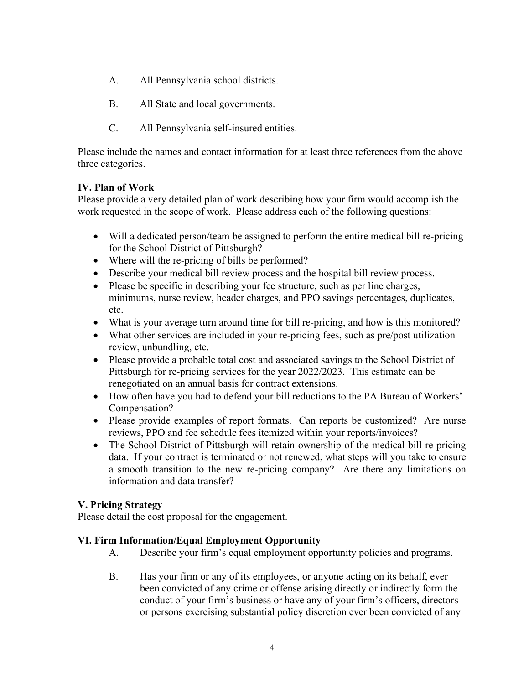- A. All Pennsylvania school districts.
- B. All State and local governments.
- C. All Pennsylvania self-insured entities.

Please include the names and contact information for at least three references from the above three categories.

### IV. Plan of Work

Please provide a very detailed plan of work describing how your firm would accomplish the work requested in the scope of work. Please address each of the following questions:

- Will a dedicated person/team be assigned to perform the entire medical bill re-pricing for the School District of Pittsburgh?
- Where will the re-pricing of bills be performed?
- Describe your medical bill review process and the hospital bill review process.
- Please be specific in describing your fee structure, such as per line charges, minimums, nurse review, header charges, and PPO savings percentages, duplicates, etc.
- What is your average turn around time for bill re-pricing, and how is this monitored?
- What other services are included in your re-pricing fees, such as pre/post utilization review, unbundling, etc.
- Please provide a probable total cost and associated savings to the School District of Pittsburgh for re-pricing services for the year 2022/2023. This estimate can be renegotiated on an annual basis for contract extensions.
- How often have you had to defend your bill reductions to the PA Bureau of Workers' Compensation?
- Please provide examples of report formats. Can reports be customized? Are nurse reviews, PPO and fee schedule fees itemized within your reports/invoices?
- The School District of Pittsburgh will retain ownership of the medical bill re-pricing data. If your contract is terminated or not renewed, what steps will you take to ensure a smooth transition to the new re-pricing company? Are there any limitations on information and data transfer?

### V. Pricing Strategy

Please detail the cost proposal for the engagement.

### VI. Firm Information/Equal Employment Opportunity

- A. Describe your firm's equal employment opportunity policies and programs.
- B. Has your firm or any of its employees, or anyone acting on its behalf, ever been convicted of any crime or offense arising directly or indirectly form the conduct of your firm's business or have any of your firm's officers, directors or persons exercising substantial policy discretion ever been convicted of any